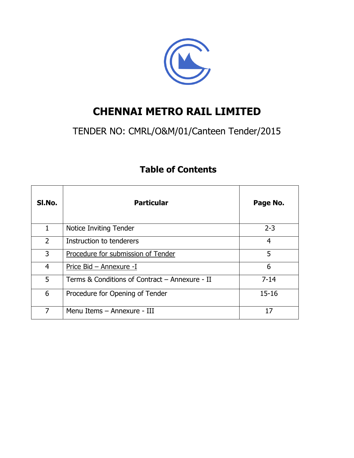

# **CHENNAI METRO RAIL LIMITED**

# TENDER NO: CMRL/O&M/01/Canteen Tender/2015

| SI.No.         | <b>Particular</b>                              | Page No.  |
|----------------|------------------------------------------------|-----------|
| 1              | Notice Inviting Tender                         | $2 - 3$   |
| $\overline{2}$ | Instruction to tenderers                       | 4         |
| 3              | Procedure for submission of Tender             | 5         |
| 4              | Price Bid - Annexure -I                        | 6         |
| 5              | Terms & Conditions of Contract – Annexure - II | $7 - 14$  |
| 6              | Procedure for Opening of Tender                | $15 - 16$ |
| $\overline{7}$ | Menu Items - Annexure - III                    | 17        |

## **Table of Contents**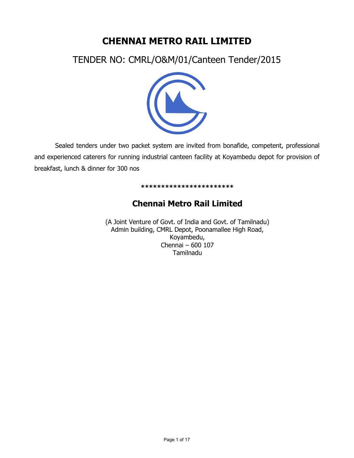## **CHENNAI METRO RAIL LIMITED**

TENDER NO: CMRL/O&M/01/Canteen Tender/2015



Sealed tenders under two packet system are invited from bonafide, competent, professional and experienced caterers for running industrial canteen facility at Koyambedu depot for provision of breakfast, lunch & dinner for 300 nos

#### **\*\*\*\*\*\*\*\*\*\*\*\*\*\*\*\*\*\*\*\*\*\*\***

## **Chennai Metro Rail Limited**

(A Joint Venture of Govt. of India and Govt. of Tamilnadu) Admin building, CMRL Depot, Poonamallee High Road, Koyambedu, Chennai – 600 107 Tamilnadu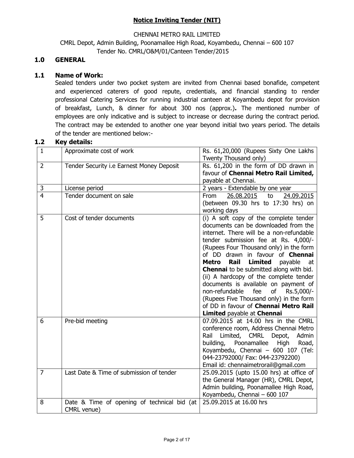## **Notice Inviting Tender (NIT)**

#### CHENNAI METRO RAIL LIMITED

CMRL Depot, Admin Building, Poonamallee High Road, Koyambedu, Chennai – 600 107 Tender No. CMRL/O&M/01/Canteen Tender/2015

## **1.0 GENERAL**

#### **1.1 Name of Work:**

 Sealed tenders under two pocket system are invited from Chennai based bonafide, competent and experienced caterers of good repute, credentials, and financial standing to render professional Catering Services for running industrial canteen at Koyambedu depot for provision of breakfast, Lunch, & dinner for about 300 nos (approx.)**.** The mentioned number of employees are only indicative and is subject to increase or decrease during the contract period. The contract may be extended to another one year beyond initial two years period. The details of the tender are mentioned below:-

#### **1.2 Key details:**

| $\mathbf{1}$   | Approximate cost of work                    | Rs. 61,20,000 (Rupees Sixty One Lakhs<br>Twenty Thousand only)                                            |
|----------------|---------------------------------------------|-----------------------------------------------------------------------------------------------------------|
| $\overline{2}$ | Tender Security i.e Earnest Money Deposit   | Rs. 61,200 in the form of DD drawn in                                                                     |
|                |                                             | favour of Chennai Metro Rail Limited,                                                                     |
|                |                                             | payable at Chennai.                                                                                       |
| $\mathsf 3$    | License period                              | 2 years - Extendable by one year                                                                          |
| $\overline{4}$ | Tender document on sale                     | 26.08.2015<br>to<br>24.09.2015<br><b>From</b>                                                             |
|                |                                             | (between 09.30 hrs to 17:30 hrs) on                                                                       |
|                |                                             | working days                                                                                              |
| 5              | Cost of tender documents                    | (i) A soft copy of the complete tender                                                                    |
|                |                                             | documents can be downloaded from the                                                                      |
|                |                                             | internet. There will be a non-refundable                                                                  |
|                |                                             | tender submission fee at Rs. 4,000/-                                                                      |
|                |                                             | (Rupees Four Thousand only) in the form                                                                   |
|                |                                             | of DD drawn in favour of <b>Chennai</b>                                                                   |
|                |                                             | Rail<br><b>Limited</b><br>payable<br><b>Metro</b><br>at<br><b>Chennai</b> to be submitted along with bid. |
|                |                                             | (ii) A hardcopy of the complete tender                                                                    |
|                |                                             | documents is available on payment of                                                                      |
|                |                                             | non-refundable<br>fee<br>of<br>Rs.5,000/-                                                                 |
|                |                                             | (Rupees Five Thousand only) in the form                                                                   |
|                |                                             | of DD in favour of Chennai Metro Rail                                                                     |
|                |                                             | Limited payable at Chennai                                                                                |
| 6              | Pre-bid meeting                             | 07.09.2015 at 14.00 hrs in the CMRL                                                                       |
|                |                                             | conference room, Address Chennai Metro                                                                    |
|                |                                             | Rail<br>Limited, CMRL<br>Depot,<br>Admin                                                                  |
|                |                                             | building,<br>Poonamallee<br>High<br>Road,                                                                 |
|                |                                             | Koyambedu, Chennai - 600 107 (Tel:                                                                        |
|                |                                             | 044-23792000/ Fax: 044-23792200)                                                                          |
|                |                                             | Email id: chennaimetrorail@gmail.com                                                                      |
| $\overline{7}$ | Last Date & Time of submission of tender    | 25.09.2015 (upto 15.00 hrs) at office of                                                                  |
|                |                                             | the General Manager (HR), CMRL Depot,                                                                     |
|                |                                             | Admin building, Poonamallee High Road,                                                                    |
|                |                                             | Koyambedu, Chennai - 600 107                                                                              |
| 8              | Date & Time of opening of technical bid (at | 25.09.2015 at 16.00 hrs                                                                                   |
|                | CMRL venue)                                 |                                                                                                           |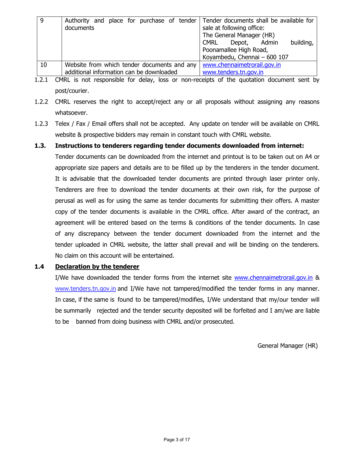| 9  | Authority and place for purchase of tender  | Tender documents shall be available for  |  |  |
|----|---------------------------------------------|------------------------------------------|--|--|
|    | documents                                   | sale at following office:                |  |  |
|    |                                             | The General Manager (HR)                 |  |  |
|    |                                             | building,<br>Depot, Admin<br><b>CMRL</b> |  |  |
|    |                                             | Poonamallee High Road,                   |  |  |
|    |                                             | Koyambedu, Chennai - 600 107             |  |  |
| 10 | Website from which tender documents and any | www.chennaimetrorail.gov.in              |  |  |
|    | additional information can be downloaded    | www.tenders.tn.gov.in                    |  |  |

1.2.1 CMRL is not responsible for delay, loss or non-receipts of the quotation document sent by post/courier.

- 1.2.2 CMRL reserves the right to accept/reject any or all proposals without assigning any reasons whatsoever.
- 1.2.3 Telex / Fax / Email offers shall not be accepted. Any update on tender will be available on CMRL website & prospective bidders may remain in constant touch with CMRL website.

#### **1.3. Instructions to tenderers regarding tender documents downloaded from internet:**

Tender documents can be downloaded from the internet and printout is to be taken out on A4 or appropriate size papers and details are to be filled up by the tenderers in the tender document. It is advisable that the downloaded tender documents are printed through laser printer only. Tenderers are free to download the tender documents at their own risk, for the purpose of perusal as well as for using the same as tender documents for submitting their offers. A master copy of the tender documents is available in the CMRL office. After award of the contract, an agreement will be entered based on the terms & conditions of the tender documents. In case of any discrepancy between the tender document downloaded from the internet and the tender uploaded in CMRL website, the latter shall prevail and will be binding on the tenderers. No claim on this account will be entertained.

#### **1.4 Declaration by the tenderer**

I/We have downloaded the tender forms from the internet site [www.chennaimetrorail.gov.in](http://www.chennaimetrorail.gov.in/) & www.tenders.tn.gov.in and I/We have not tampered/modified the tender forms in any manner. In case, if the same is found to be tampered/modifies, I/We understand that my/our tender will be summarily rejected and the tender security deposited will be forfeited and I am/we are liable to be banned from doing business with CMRL and/or prosecuted.

General Manager (HR)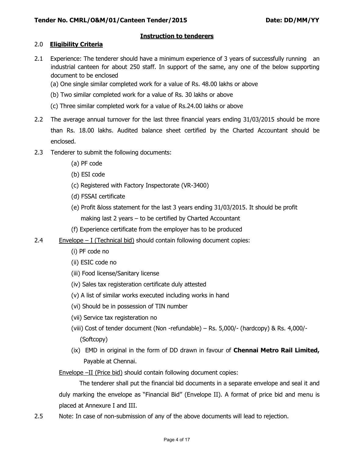### **Instruction to tenderers**

#### 2.0 **Eligibility Criteria**

- 2.1 Experience: The tenderer should have a minimum experience of 3 years of successfully running an industrial canteen for about 250 staff. In support of the same, any one of the below supporting document to be enclosed
	- (a) One single similar completed work for a value of Rs. 48.00 lakhs or above
	- (b) Two similar completed work for a value of Rs. 30 lakhs or above
	- (c) Three similar completed work for a value of Rs.24.00 lakhs or above
- 2.2 The average annual turnover for the last three financial years ending 31/03/2015 should be more than Rs. 18.00 lakhs. Audited balance sheet certified by the Charted Accountant should be enclosed.
- 2.3 Tenderer to submit the following documents:
	- (a) PF code
	- (b) ESI code
	- (c) Registered with Factory Inspectorate (VR-3400)
	- (d) FSSAI certificate
	- (e) Profit &loss statement for the last 3 years ending 31/03/2015. It should be profit
		- making last 2 years to be certified by Charted Accountant
	- (f) Experience certificate from the employer has to be produced
- 2.4 Envelope I (Technical bid) should contain following document copies:
	- (i) PF code no
	- (ii) ESIC code no
	- (iii) Food license/Sanitary license
	- (iv) Sales tax registeration certificate duly attested
	- (v) A list of similar works executed including works in hand
	- (vi) Should be in possession of TIN number
	- (vii) Service tax registeration no
	- (viii) Cost of tender document (Non -refundable) Rs. 5,000/- (hardcopy) & Rs. 4,000/- (Softcopy)
	- (ix) EMD in original in the form of DD drawn in favour of **Chennai Metro Rail Limited,** Payable at Chennai.

Envelope –II (Price bid) should contain following document copies:

 The tenderer shall put the financial bid documents in a separate envelope and seal it and duly marking the envelope as "Financial Bid" (Envelope II). A format of price bid and menu is placed at Annexure I and III.

2.5 Note: In case of non-submission of any of the above documents will lead to rejection.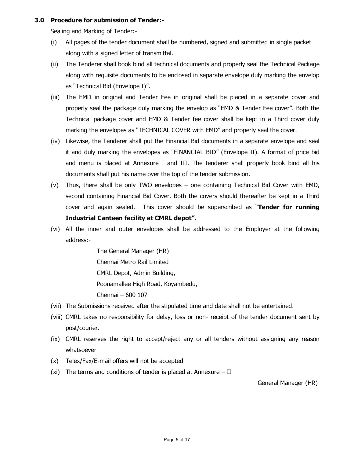#### **3.0 Procedure for submission of Tender:-**

Sealing and Marking of Tender:-

- (i) All pages of the tender document shall be numbered, signed and submitted in single packet along with a signed letter of transmittal.
- (ii) The Tenderer shall book bind all technical documents and properly seal the Technical Package along with requisite documents to be enclosed in separate envelope duly marking the envelop as "Technical Bid (Envelope I)".
- (iii) The EMD in original and Tender Fee in original shall be placed in a separate cover and properly seal the package duly marking the envelop as "EMD & Tender Fee cover". Both the Technical package cover and EMD & Tender fee cover shall be kept in a Third cover duly marking the envelopes as "TECHNICAL COVER with EMD" and properly seal the cover.
- (iv) Likewise, the Tenderer shall put the Financial Bid documents in a separate envelope and seal it and duly marking the envelopes as "FINANCIAL BID" (Envelope II). A format of price bid and menu is placed at Annexure I and III. The tenderer shall properly book bind all his documents shall put his name over the top of the tender submission.
- (v) Thus, there shall be only TWO envelopes one containing Technical Bid Cover with EMD, second containing Financial Bid Cover. Both the covers should thereafter be kept in a Third cover and again sealed. This cover should be superscribed as "**Tender for running Industrial Canteen facility at CMRL depot".**
- (vi) All the inner and outer envelopes shall be addressed to the Employer at the following address:-

 The General Manager (HR) Chennai Metro Rail Limited CMRL Depot, Admin Building, Poonamallee High Road, Koyambedu, Chennai – 600 107

- (vii) The Submissions received after the stipulated time and date shall not be entertained.
- (viii) CMRL takes no responsibility for delay, loss or non- receipt of the tender document sent by post/courier.
- (ix) CMRL reserves the right to accept/reject any or all tenders without assigning any reason whatsoever
- (x) Telex/Fax/E-mail offers will not be accepted
- (xi) The terms and conditions of tender is placed at Annexure II

General Manager (HR)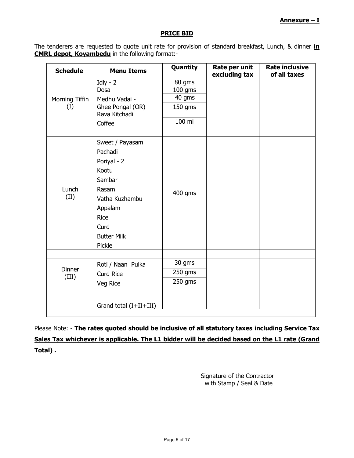#### **PRICE BID**

The tenderers are requested to quote unit rate for provision of standard breakfast, Lunch, & dinner **in CMRL depot, Koyambedu** in the following format:-

| <b>Schedule</b>        | <b>Menu Items</b>                 | Quantity  | Rate per unit<br>excluding tax | <b>Rate inclusive</b><br>of all taxes |
|------------------------|-----------------------------------|-----------|--------------------------------|---------------------------------------|
|                        | Idly - $2$                        | 80 gms    |                                |                                       |
|                        | Dosa                              | $100$ gms |                                |                                       |
| Morning Tiffin         | Medhu Vadai -                     | 40 gms    |                                |                                       |
| (I)                    | Ghee Pongal (OR)<br>Rava Kitchadi | 150 gms   |                                |                                       |
|                        | Coffee                            | 100 ml    |                                |                                       |
|                        |                                   |           |                                |                                       |
|                        | Sweet / Payasam                   |           |                                |                                       |
|                        | Pachadi                           |           |                                |                                       |
|                        | Poriyal - 2                       |           |                                |                                       |
|                        | Kootu                             |           |                                |                                       |
|                        | Sambar                            |           |                                |                                       |
| Lunch                  | Rasam                             | 400 gms   |                                |                                       |
| (II)                   | Vatha Kuzhambu                    |           |                                |                                       |
|                        | Appalam                           |           |                                |                                       |
|                        | <b>Rice</b>                       |           |                                |                                       |
|                        | Curd                              |           |                                |                                       |
|                        | <b>Butter Milk</b>                |           |                                |                                       |
|                        | Pickle                            |           |                                |                                       |
|                        |                                   |           |                                |                                       |
|                        | Roti / Naan Pulka                 | 30 gms    |                                |                                       |
| <b>Dinner</b><br>(III) | <b>Curd Rice</b>                  | 250 gms   |                                |                                       |
|                        | Veg Rice                          | 250 gms   |                                |                                       |
|                        |                                   |           |                                |                                       |
|                        | Grand total (I+II+III)            |           |                                |                                       |

Please Note: - The rates quoted should be inclusive of all statutory taxes including Service Tax **Sales Tax whichever is applicable. The L1 bidder will be decided based on the L1 rate (Grand Total) .** 

> Signature of the Contractor with Stamp / Seal & Date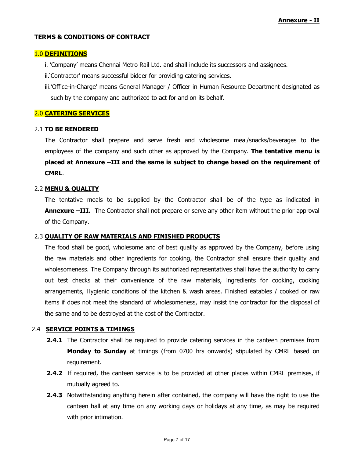#### **TERMS & CONDITIONS OF CONTRACT**

#### 1.0 **DEFINITIONS**

i. "Company" means Chennai Metro Rail Ltd. and shall include its successors and assignees.

ii.'Contractor' means successful bidder for providing catering services.

iii."Office-in-Charge" means General Manager / Officer in Human Resource Department designated as such by the company and authorized to act for and on its behalf.

#### 2.0 **CATERING SERVICES**

#### 2.1 **TO BE RENDERED**

The Contractor shall prepare and serve fresh and wholesome meal/snacks/beverages to the employees of the company and such other as approved by the Company. **The tentative menu is placed at Annexure –III and the same is subject to change based on the requirement of CMRL**.

#### 2.2 **MENU & QUALITY**

The tentative meals to be supplied by the Contractor shall be of the type as indicated in **Annexure –III.** The Contractor shall not prepare or serve any other item without the prior approval of the Company.

#### 2.3 **QUALITY OF RAW MATERIALS AND FINISHED PRODUCTS**

The food shall be good, wholesome and of best quality as approved by the Company, before using the raw materials and other ingredients for cooking, the Contractor shall ensure their quality and wholesomeness. The Company through its authorized representatives shall have the authority to carry out test checks at their convenience of the raw materials, ingredients for cooking, cooking arrangements, Hygienic conditions of the kitchen & wash areas. Finished eatables / cooked or raw items if does not meet the standard of wholesomeness, may insist the contractor for the disposal of the same and to be destroyed at the cost of the Contractor.

#### 2.4 **SERVICE POINTS & TIMINGS**

- **2.4.1** The Contractor shall be required to provide catering services in the canteen premises from **Monday to Sunday** at timings (from 0700 hrs onwards) stipulated by CMRL based on requirement.
- **2.4.2** If required, the canteen service is to be provided at other places within CMRL premises, if mutually agreed to.
- **2.4.3** Notwithstanding anything herein after contained, the company will have the right to use the canteen hall at any time on any working days or holidays at any time, as may be required with prior intimation.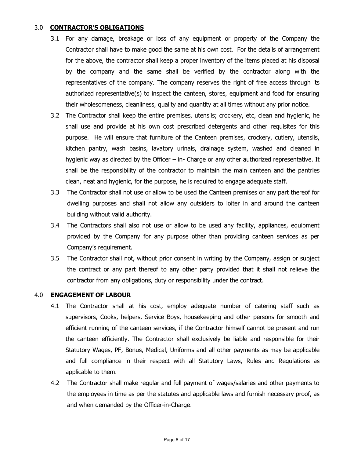### 3.0 **CONTRACTOR'S OBLIGATIONS**

- 3.1 For any damage, breakage or loss of any equipment or property of the Company the Contractor shall have to make good the same at his own cost. For the details of arrangement for the above, the contractor shall keep a proper inventory of the items placed at his disposal by the company and the same shall be verified by the contractor along with the representatives of the company. The company reserves the right of free access through its authorized representative(s) to inspect the canteen, stores, equipment and food for ensuring their wholesomeness, cleanliness, quality and quantity at all times without any prior notice.
- 3.2 The Contractor shall keep the entire premises, utensils; crockery, etc, clean and hygienic, he shall use and provide at his own cost prescribed detergents and other requisites for this purpose. He will ensure that furniture of the Canteen premises, crockery, cutlery, utensils, kitchen pantry, wash basins, lavatory urinals, drainage system, washed and cleaned in hygienic way as directed by the Officer – in- Charge or any other authorized representative. It shall be the responsibility of the contractor to maintain the main canteen and the pantries clean, neat and hygienic, for the purpose, he is required to engage adequate staff.
- 3.3 The Contractor shall not use or allow to be used the Canteen premises or any part thereof for dwelling purposes and shall not allow any outsiders to loiter in and around the canteen building without valid authority.
- 3.4 The Contractors shall also not use or allow to be used any facility, appliances, equipment provided by the Company for any purpose other than providing canteen services as per Company"s requirement.
- 3.5 The Contractor shall not, without prior consent in writing by the Company, assign or subject the contract or any part thereof to any other party provided that it shall not relieve the contractor from any obligations, duty or responsibility under the contract.

#### 4.0 **ENGAGEMENT OF LABOUR**

- 4.1 The Contractor shall at his cost, employ adequate number of catering staff such as supervisors, Cooks, helpers, Service Boys, housekeeping and other persons for smooth and efficient running of the canteen services, if the Contractor himself cannot be present and run the canteen efficiently. The Contractor shall exclusively be liable and responsible for their Statutory Wages, PF, Bonus, Medical, Uniforms and all other payments as may be applicable and full compliance in their respect with all Statutory Laws, Rules and Regulations as applicable to them.
- 4.2 The Contractor shall make regular and full payment of wages/salaries and other payments to the employees in time as per the statutes and applicable laws and furnish necessary proof, as and when demanded by the Officer-in-Charge.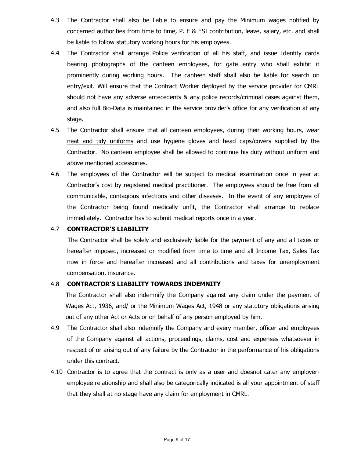- 4.3 The Contractor shall also be liable to ensure and pay the Minimum wages notified by concerned authorities from time to time, P. F & ESI contribution, leave, salary, etc. and shall be liable to follow statutory working hours for his employees.
- 4.4 The Contractor shall arrange Police verification of all his staff, and issue Identity cards bearing photographs of the canteen employees, for gate entry who shall exhibit it prominently during working hours. The canteen staff shall also be liable for search on entry/exit. Will ensure that the Contract Worker deployed by the service provider for CMRL should not have any adverse antecedents & any police records/criminal cases against them, and also full Bio-Data is maintained in the service provider's office for any verification at any stage.
- 4.5 The Contractor shall ensure that all canteen employees, during their working hours, wear neat and tidy uniforms and use hygiene gloves and head caps/covers supplied by the Contractor. No canteen employee shall be allowed to continue his duty without uniform and above mentioned accessories.
- 4.6 The employees of the Contractor will be subject to medical examination once in year at Contractor"s cost by registered medical practitioner. The employees should be free from all communicable, contagious infections and other diseases. In the event of any employee of the Contractor being found medically unfit, the Contractor shall arrange to replace immediately. Contractor has to submit medical reports once in a year.

## 4.7 **CONTRACTOR'S LIABILITY**

 The Contractor shall be solely and exclusively liable for the payment of any and all taxes or hereafter imposed, increased or modified from time to time and all Income Tax, Sales Tax now in force and hereafter increased and all contributions and taxes for unemployment compensation, insurance.

## 4.8 **CONTRACTOR'S LIABILITY TOWARDS INDEMNITY**

The Contractor shall also indemnify the Company against any claim under the payment of Wages Act, 1936, and/ or the Minimum Wages Act, 1948 or any statutory obligations arising out of any other Act or Acts or on behalf of any person employed by him.

- 4.9 The Contractor shall also indemnify the Company and every member, officer and employees of the Company against all actions, proceedings, claims, cost and expenses whatsoever in respect of or arising out of any failure by the Contractor in the performance of his obligations under this contract.
- 4.10 Contractor is to agree that the contract is only as a user and doesnot cater any employeremployee relationship and shall also be categorically indicated is all your appointment of staff that they shall at no stage have any claim for employment in CMRL.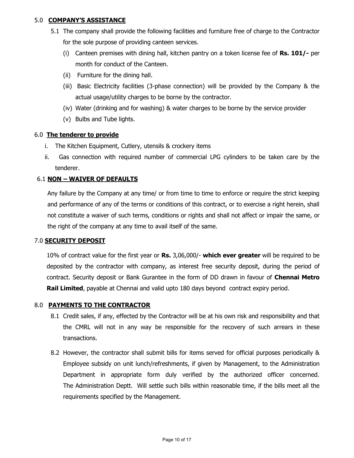## 5.0 **COMPANY'S ASSISTANCE**

- 5.1 The company shall provide the following facilities and furniture free of charge to the Contractor for the sole purpose of providing canteen services.
	- (i) Canteen premises with dining hall, kitchen pantry on a token license fee of **Rs. 101/-** per month for conduct of the Canteen.
	- (ii) Furniture for the dining hall.
	- (iii) Basic Electricity facilities (3-phase connection) will be provided by the Company & the actual usage/utility charges to be borne by the contractor.
	- (iv) Water (drinking and for washing) & water charges to be borne by the service provider
	- (v) Bulbs and Tube lights.

#### 6.0 **The tenderer to provide**

- i. The Kitchen Equipment, Cutlery, utensils & crockery items
- ii. Gas connection with required number of commercial LPG cylinders to be taken care by the tenderer.

#### 6.1 **NON – WAIVER OF DEFAULTS**

Any failure by the Company at any time/ or from time to time to enforce or require the strict keeping and performance of any of the terms or conditions of this contract, or to exercise a right herein, shall not constitute a waiver of such terms, conditions or rights and shall not affect or impair the same, or the right of the company at any time to avail itself of the same.

#### 7.0 **SECURITY DEPOSIT**

10% of contract value for the first year or **Rs.** 3,06,000/- **which ever greater** will be required to be deposited by the contractor with company, as interest free security deposit, during the period of contract. Security deposit or Bank Gurantee in the form of DD drawn in favour of **Chennai Metro Rail Limited**, payable at Chennai and valid upto 180 days beyond contract expiry period.

#### 8.0 **PAYMENTS TO THE CONTRACTOR**

- 8.1 Credit sales, if any, effected by the Contractor will be at his own risk and responsibility and that the CMRL will not in any way be responsible for the recovery of such arrears in these transactions.
- 8.2 However, the contractor shall submit bills for items served for official purposes periodically & Employee subsidy on unit lunch/refreshments, if given by Management, to the Administration Department in appropriate form duly verified by the authorized officer concerned. The Administration Deptt. Will settle such bills within reasonable time, if the bills meet all the requirements specified by the Management.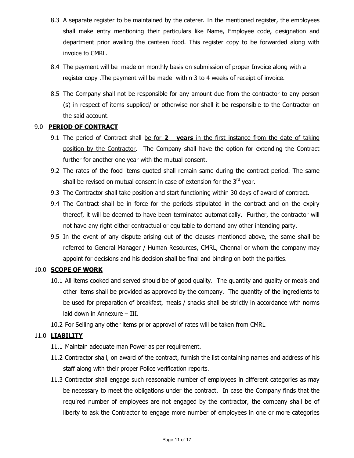- 8.3 A separate register to be maintained by the caterer. In the mentioned register, the employees shall make entry mentioning their particulars like Name, Employee code, designation and department prior availing the canteen food. This register copy to be forwarded along with invoice to CMRL.
- 8.4 The payment will be made on monthly basis on submission of proper Invoice along with a register copy .The payment will be made within 3 to 4 weeks of receipt of invoice.
- 8.5 The Company shall not be responsible for any amount due from the contractor to any person (s) in respect of items supplied/ or otherwise nor shall it be responsible to the Contractor on the said account.

## 9.0 **PERIOD OF CONTRACT**

- 9.1 The period of Contract shall be for **2 years** in the first instance from the date of taking position by the Contractor. The Company shall have the option for extending the Contract further for another one year with the mutual consent.
- 9.2 The rates of the food items quoted shall remain same during the contract period. The same shall be revised on mutual consent in case of extension for the  $3<sup>rd</sup>$  year.
- 9.3 The Contractor shall take position and start functioning within 30 days of award of contract.
- 9.4 The Contract shall be in force for the periods stipulated in the contract and on the expiry thereof, it will be deemed to have been terminated automatically. Further, the contractor will not have any right either contractual or equitable to demand any other intending party.
- 9.5 In the event of any dispute arising out of the clauses mentioned above, the same shall be referred to General Manager / Human Resources, CMRL, Chennai or whom the company may appoint for decisions and his decision shall be final and binding on both the parties.

#### 10.0 **SCOPE OF WORK**

- 10.1 All items cooked and served should be of good quality. The quantity and quality or meals and other items shall be provided as approved by the company. The quantity of the ingredients to be used for preparation of breakfast, meals / snacks shall be strictly in accordance with norms laid down in Annexure – III.
- 10.2 For Selling any other items prior approval of rates will be taken from CMRL

## 11.0 **LIABILITY**

- 11.1 Maintain adequate man Power as per requirement.
- 11.2 Contractor shall, on award of the contract, furnish the list containing names and address of his staff along with their proper Police verification reports.
- 11.3 Contractor shall engage such reasonable number of employees in different categories as may be necessary to meet the obligations under the contract. In case the Company finds that the required number of employees are not engaged by the contractor, the company shall be of liberty to ask the Contractor to engage more number of employees in one or more categories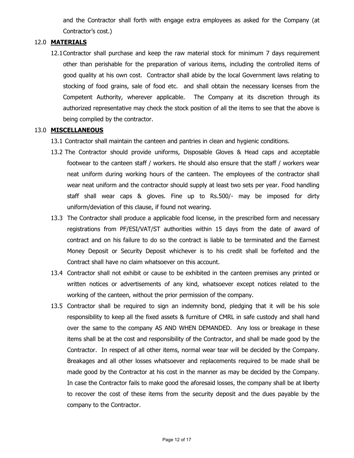and the Contractor shall forth with engage extra employees as asked for the Company (at Contractor"s cost.)

### 12.0 **MATERIALS**

12.1Contractor shall purchase and keep the raw material stock for minimum 7 days requirement other than perishable for the preparation of various items, including the controlled items of good quality at his own cost. Contractor shall abide by the local Government laws relating to stocking of food grains, sale of food etc. and shall obtain the necessary licenses from the Competent Authority, wherever applicable. The Company at its discretion through its authorized representative may check the stock position of all the items to see that the above is being complied by the contractor.

#### 13.0 **MISCELLANEOUS**

- 13.1 Contractor shall maintain the canteen and pantries in clean and hygienic conditions.
- 13.2 The Contractor should provide uniforms, Disposable Gloves & Head caps and acceptable footwear to the canteen staff / workers. He should also ensure that the staff / workers wear neat uniform during working hours of the canteen. The employees of the contractor shall wear neat uniform and the contractor should supply at least two sets per year. Food handling staff shall wear caps & gloves. Fine up to Rs.500/- may be imposed for dirty uniform/deviation of this clause, if found not wearing.
- 13.3 The Contractor shall produce a applicable food license, in the prescribed form and necessary registrations from PF/ESI/VAT/ST authorities within 15 days from the date of award of contract and on his failure to do so the contract is liable to be terminated and the Earnest Money Deposit or Security Deposit whichever is to his credit shall be forfeited and the Contract shall have no claim whatsoever on this account.
- 13.4 Contractor shall not exhibit or cause to be exhibited in the canteen premises any printed or written notices or advertisements of any kind, whatsoever except notices related to the working of the canteen, without the prior permission of the company.
- 13.5 Contractor shall be required to sign an indemnity bond, pledging that it will be his sole responsibility to keep all the fixed assets & furniture of CMRL in safe custody and shall hand over the same to the company AS AND WHEN DEMANDED. Any loss or breakage in these items shall be at the cost and responsibility of the Contractor, and shall be made good by the Contractor. In respect of all other items, normal wear tear will be decided by the Company. Breakages and all other losses whatsoever and replacements required to be made shall be made good by the Contractor at his cost in the manner as may be decided by the Company. In case the Contractor fails to make good the aforesaid losses, the company shall be at liberty to recover the cost of these items from the security deposit and the dues payable by the company to the Contractor.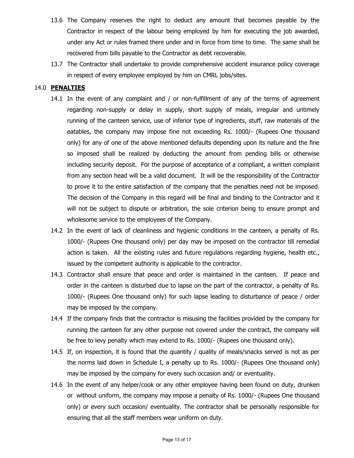- 13.6 The Company reserves the right to deduct any amount that becomes payable by the Contractor in respect of the labour being employed by him for executing the job awarded, under any Act or rules framed there under and in force from time to time. The same shall be recovered from bills payable to the Contractor as debt recoverable.
- 13.7 The Contractor shall undertake to provide comprehensive accident insurance policy coverage in respect of every employee employed by him on CMRL jobs/sites.

#### 14.0 **PENALTIES**

- 14.1 In the event of any complaint and / or non-fulfillment of any of the terms of agreement regarding non-supply or delay in supply, short supply of meals, irregular and untimely running of the canteen service, use of inferior type of ingredients, stuff, raw materials of the eatables, the company may impose fine not exceeding Rs. 1000/- (Rupees One thousand only) for any of one of the above mentioned defaults depending upon its nature and the fine so imposed shall be realized by deducting the amount from pending bills or otherwise including security deposit. For the purpose of acceptance of a compliant, a written complaint from any section head will be a valid document. It will be the responsibility of the Contractor to prove it to the entire satisfaction of the company that the penalties need not be imposed. The decision of the Company in this regard will be final and binding to the Contractor and it will not be subject to dispute or arbitration, the sole criterion being to ensure prompt and wholesome service to the employees of the Company.
- 14.2 In the event of lack of cleanliness and hygienic conditions in the canteen, a penalty of Rs. 1000/- (Rupees One thousand only) per day may be imposed on the contractor till remedial action is taken. All the existing rules and future regulations regarding hygiene, health etc., issued by the competent authority is applicable to the contractor.
- 14.3 Contractor shall ensure that peace and order is maintained in the canteen. If peace and order in the canteen is disturbed due to lapse on the part of the contractor, a penalty of Rs. 1000/- (Rupees One thousand only) for such lapse leading to disturbance of peace / order may be imposed by the company.
- 14.4 If the company finds that the contractor is misusing the facilities provided by the company for running the canteen for any other purpose not covered under the contract, the company will be free to levy penalty which may extend to Rs. 1000/- (Rupees one thousand only).
- 14.5 If, on inspection, it is found that the quantity / quality of meals/snacks served is not as per the norms laid down in Schedule I, a penalty up to Rs. 1000/- (Rupees One thousand only) may be imposed by the company for every such occasion and/ or eventuality.
- 14.6 In the event of any helper/cook or any other employee having been found on duty, drunken or without uniform, the company may impose a penalty of Rs. 1000/- (Rupees One thousand only) or every such occasion/ eventuality. The contractor shall be personally responsible for ensuring that all the staff members wear uniform on duty.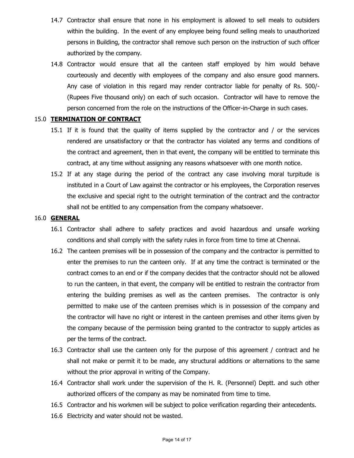- 14.7 Contractor shall ensure that none in his employment is allowed to sell meals to outsiders within the building. In the event of any employee being found selling meals to unauthorized persons in Building, the contractor shall remove such person on the instruction of such officer authorized by the company.
- 14.8 Contractor would ensure that all the canteen staff employed by him would behave courteously and decently with employees of the company and also ensure good manners. Any case of violation in this regard may render contractor liable for penalty of Rs. 500/- (Rupees Five thousand only) on each of such occasion. Contractor will have to remove the person concerned from the role on the instructions of the Officer-in-Charge in such cases.

#### 15.0 **TERMINATION OF CONTRACT**

- 15.1 If it is found that the quality of items supplied by the contractor and / or the services rendered are unsatisfactory or that the contractor has violated any terms and conditions of the contract and agreement, then in that event, the company will be entitled to terminate this contract, at any time without assigning any reasons whatsoever with one month notice.
- 15.2 If at any stage during the period of the contract any case involving moral turpitude is instituted in a Court of Law against the contractor or his employees, the Corporation reserves the exclusive and special right to the outright termination of the contract and the contractor shall not be entitled to any compensation from the company whatsoever.

#### 16.0 **GENERAL**

- 16.1 Contractor shall adhere to safety practices and avoid hazardous and unsafe working conditions and shall comply with the safety rules in force from time to time at Chennai.
- 16.2 The canteen premises will be in possession of the company and the contractor is permitted to enter the premises to run the canteen only. If at any time the contract is terminated or the contract comes to an end or if the company decides that the contractor should not be allowed to run the canteen, in that event, the company will be entitled to restrain the contractor from entering the building premises as well as the canteen premises. The contractor is only permitted to make use of the canteen premises which is in possession of the company and the contractor will have no right or interest in the canteen premises and other items given by the company because of the permission being granted to the contractor to supply articles as per the terms of the contract.
- 16.3 Contractor shall use the canteen only for the purpose of this agreement / contract and he shall not make or permit it to be made, any structural additions or alternations to the same without the prior approval in writing of the Company.
- 16.4 Contractor shall work under the supervision of the H. R. (Personnel) Deptt. and such other authorized officers of the company as may be nominated from time to time.
- 16.5 Contractor and his workmen will be subject to police verification regarding their antecedents.
- 16.6 Electricity and water should not be wasted.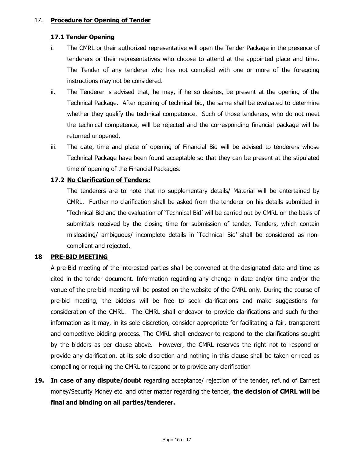### 17. **Procedure for Opening of Tender**

## **17.1 Tender Opening**

- i. The CMRL or their authorized representative will open the Tender Package in the presence of tenderers or their representatives who choose to attend at the appointed place and time. The Tender of any tenderer who has not complied with one or more of the foregoing instructions may not be considered.
- ii. The Tenderer is advised that, he may, if he so desires, be present at the opening of the Technical Package. After opening of technical bid, the same shall be evaluated to determine whether they qualify the technical competence. Such of those tenderers, who do not meet the technical competence, will be rejected and the corresponding financial package will be returned unopened.
- iii. The date, time and place of opening of Financial Bid will be advised to tenderers whose Technical Package have been found acceptable so that they can be present at the stipulated time of opening of the Financial Packages.

## **17.2 No Clarification of Tenders:**

The tenderers are to note that no supplementary details/ Material will be entertained by CMRL. Further no clarification shall be asked from the tenderer on his details submitted in "Technical Bid and the evaluation of "Technical Bid" will be carried out by CMRL on the basis of submittals received by the closing time for submission of tender. Tenders, which contain misleading/ ambiguous/ incomplete details in "Technical Bid" shall be considered as noncompliant and rejected.

#### **18 PRE-BID MEETING**

A pre-Bid meeting of the interested parties shall be convened at the designated date and time as cited in the tender document. Information regarding any change in date and/or time and/or the venue of the pre-bid meeting will be posted on the website of the CMRL only. During the course of pre-bid meeting, the bidders will be free to seek clarifications and make suggestions for consideration of the CMRL. The CMRL shall endeavor to provide clarifications and such further information as it may, in its sole discretion, consider appropriate for facilitating a fair, transparent and competitive bidding process. The CMRL shall endeavor to respond to the clarifications sought by the bidders as per clause above. However, the CMRL reserves the right not to respond or provide any clarification, at its sole discretion and nothing in this clause shall be taken or read as compelling or requiring the CMRL to respond or to provide any clarification

**19. In case of any dispute/doubt** regarding acceptance/ rejection of the tender, refund of Earnest money/Security Money etc. and other matter regarding the tender, **the decision of CMRL will be final and binding on all parties/tenderer.**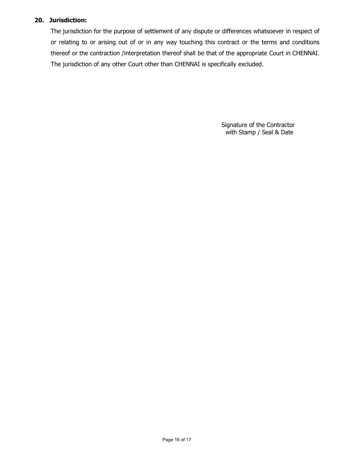## **20. Jurisdiction:**

The jurisdiction for the purpose of settlement of any dispute or differences whatsoever in respect of or relating to or arising out of or in any way touching this contract or the terms and conditions thereof or the contraction /interpretation thereof shall be that of the appropriate Court in CHENNAI. The jurisdiction of any other Court other than CHENNAI is specifically excluded.

> Signature of the Contractor with Stamp / Seal & Date